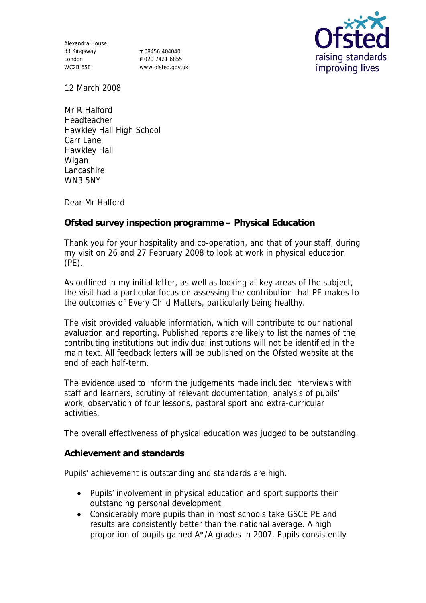Alexandra House 33 Kingsway London WC2B 6SE

**T** 08456 404040 **F** 020 7421 6855 www.ofsted.gov.uk



12 March 2008

Mr R Halford Headteacher Hawkley Hall High School Carr Lane Hawkley Hall Wigan Lancashire WN3 5NY

Dear Mr Halford

**Ofsted survey inspection programme – Physical Education**

Thank you for your hospitality and co-operation, and that of your staff, during my visit on 26 and 27 February 2008 to look at work in physical education (PE).

As outlined in my initial letter, as well as looking at key areas of the subject, the visit had a particular focus on assessing the contribution that PE makes to the outcomes of Every Child Matters, particularly being healthy.

The visit provided valuable information, which will contribute to our national evaluation and reporting. Published reports are likely to list the names of the contributing institutions but individual institutions will not be identified in the main text. All feedback letters will be published on the Ofsted website at the end of each half-term.

The evidence used to inform the judgements made included interviews with staff and learners, scrutiny of relevant documentation, analysis of pupils' work, observation of four lessons, pastoral sport and extra-curricular activities.

The overall effectiveness of physical education was judged to be outstanding.

**Achievement and standards** 

Pupils' achievement is outstanding and standards are high.

- Pupils' involvement in physical education and sport supports their outstanding personal development.
- Considerably more pupils than in most schools take GSCE PE and results are consistently better than the national average. A high proportion of pupils gained A\*/A grades in 2007. Pupils consistently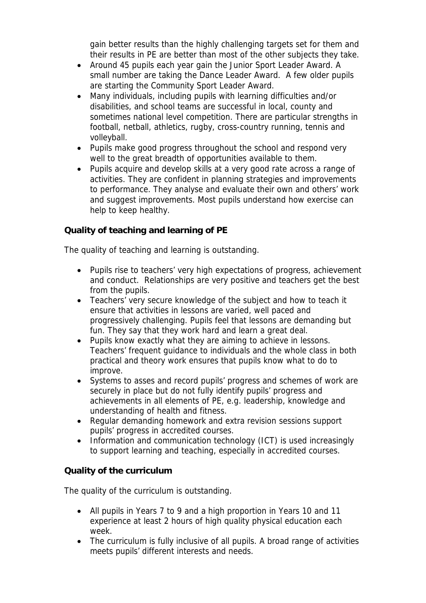gain better results than the highly challenging targets set for them and their results in PE are better than most of the other subjects they take.

- Around 45 pupils each year gain the Junior Sport Leader Award. A small number are taking the Dance Leader Award. A few older pupils are starting the Community Sport Leader Award.
- Many individuals, including pupils with learning difficulties and/or disabilities, and school teams are successful in local, county and sometimes national level competition. There are particular strengths in football, netball, athletics, rugby, cross-country running, tennis and volleyball.
- Pupils make good progress throughout the school and respond very well to the great breadth of opportunities available to them.
- Pupils acquire and develop skills at a very good rate across a range of activities. They are confident in planning strategies and improvements to performance. They analyse and evaluate their own and others' work and suggest improvements. Most pupils understand how exercise can help to keep healthy.

## **Quality of teaching and learning of PE**

The quality of teaching and learning is outstanding.

- Pupils rise to teachers' very high expectations of progress, achievement and conduct. Relationships are very positive and teachers get the best from the pupils.
- Teachers' very secure knowledge of the subject and how to teach it ensure that activities in lessons are varied, well paced and progressively challenging. Pupils feel that lessons are demanding but fun. They say that they work hard and learn a great deal.
- Pupils know exactly what they are aiming to achieve in lessons. Teachers' frequent guidance to individuals and the whole class in both practical and theory work ensures that pupils know what to do to improve.
- Systems to asses and record pupils' progress and schemes of work are securely in place but do not fully identify pupils' progress and achievements in all elements of PE, e.g. leadership, knowledge and understanding of health and fitness.
- Regular demanding homework and extra revision sessions support pupils' progress in accredited courses.
- Information and communication technology (ICT) is used increasingly to support learning and teaching, especially in accredited courses.

## **Quality of the curriculum**

The quality of the curriculum is outstanding.

- All pupils in Years 7 to 9 and a high proportion in Years 10 and 11 experience at least 2 hours of high quality physical education each week.
- The curriculum is fully inclusive of all pupils. A broad range of activities meets pupils' different interests and needs.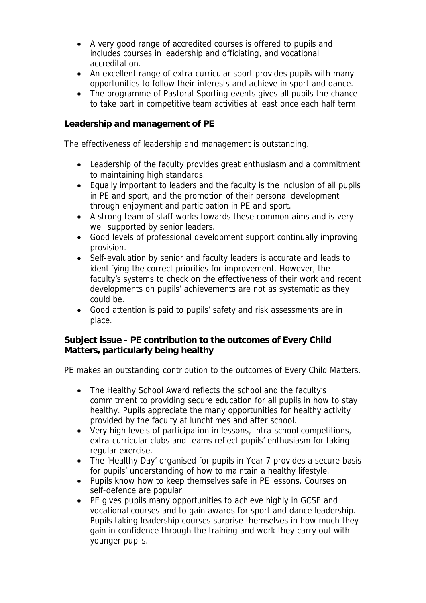- A very good range of accredited courses is offered to pupils and includes courses in leadership and officiating, and vocational accreditation.
- An excellent range of extra-curricular sport provides pupils with many opportunities to follow their interests and achieve in sport and dance.
- The programme of Pastoral Sporting events gives all pupils the chance to take part in competitive team activities at least once each half term.

**Leadership and management of PE**

The effectiveness of leadership and management is outstanding.

- Leadership of the faculty provides great enthusiasm and a commitment to maintaining high standards.
- Equally important to leaders and the faculty is the inclusion of all pupils in PE and sport, and the promotion of their personal development through enjoyment and participation in PE and sport.
- A strong team of staff works towards these common aims and is very well supported by senior leaders.
- Good levels of professional development support continually improving provision.
- Self-evaluation by senior and faculty leaders is accurate and leads to identifying the correct priorities for improvement. However, the faculty's systems to check on the effectiveness of their work and recent developments on pupils' achievements are not as systematic as they could be.
- Good attention is paid to pupils' safety and risk assessments are in place.

**Subject issue - PE contribution to the outcomes of Every Child Matters, particularly being healthy**

PE makes an outstanding contribution to the outcomes of Every Child Matters.

- The Healthy School Award reflects the school and the faculty's commitment to providing secure education for all pupils in how to stay healthy. Pupils appreciate the many opportunities for healthy activity provided by the faculty at lunchtimes and after school.
- Very high levels of participation in lessons, intra-school competitions, extra-curricular clubs and teams reflect pupils' enthusiasm for taking regular exercise.
- The 'Healthy Day' organised for pupils in Year 7 provides a secure basis for pupils' understanding of how to maintain a healthy lifestyle.
- Pupils know how to keep themselves safe in PE lessons. Courses on self-defence are popular.
- PE gives pupils many opportunities to achieve highly in GCSE and vocational courses and to gain awards for sport and dance leadership. Pupils taking leadership courses surprise themselves in how much they gain in confidence through the training and work they carry out with younger pupils.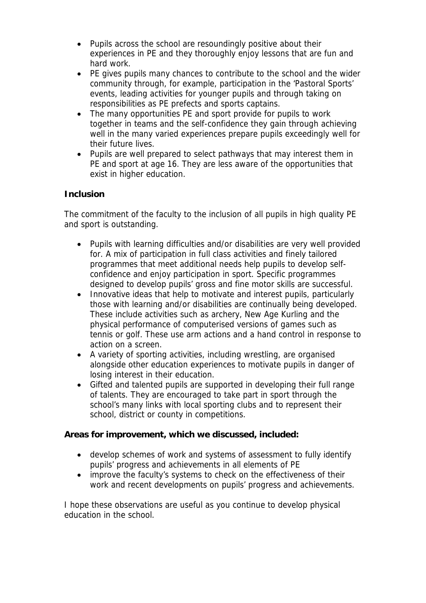- Pupils across the school are resoundingly positive about their experiences in PE and they thoroughly enjoy lessons that are fun and hard work.
- PE gives pupils many chances to contribute to the school and the wider community through, for example, participation in the 'Pastoral Sports' events, leading activities for younger pupils and through taking on responsibilities as PE prefects and sports captains.
- The many opportunities PE and sport provide for pupils to work together in teams and the self-confidence they gain through achieving well in the many varied experiences prepare pupils exceedingly well for their future lives.
- Pupils are well prepared to select pathways that may interest them in PE and sport at age 16. They are less aware of the opportunities that exist in higher education.

## **Inclusion**

The commitment of the faculty to the inclusion of all pupils in high quality PE and sport is outstanding.

- Pupils with learning difficulties and/or disabilities are very well provided for. A mix of participation in full class activities and finely tailored programmes that meet additional needs help pupils to develop selfconfidence and enjoy participation in sport. Specific programmes designed to develop pupils' gross and fine motor skills are successful.
- Innovative ideas that help to motivate and interest pupils, particularly those with learning and/or disabilities are continually being developed. These include activities such as archery, New Age Kurling and the physical performance of computerised versions of games such as tennis or golf. These use arm actions and a hand control in response to action on a screen.
- A variety of sporting activities, including wrestling, are organised alongside other education experiences to motivate pupils in danger of losing interest in their education.
- Gifted and talented pupils are supported in developing their full range of talents. They are encouraged to take part in sport through the school's many links with local sporting clubs and to represent their school, district or county in competitions.

**Areas for improvement, which we discussed, included:**

- develop schemes of work and systems of assessment to fully identify pupils' progress and achievements in all elements of PE
- improve the faculty's systems to check on the effectiveness of their work and recent developments on pupils' progress and achievements.

I hope these observations are useful as you continue to develop physical education in the school.